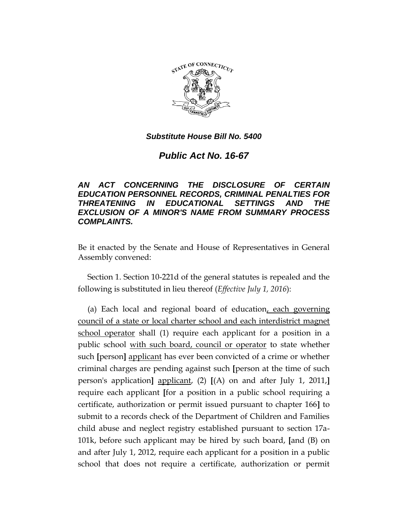

# *Public Act No. 16-67*

## *AN ACT CONCERNING THE DISCLOSURE OF CERTAIN EDUCATION PERSONNEL RECORDS, CRIMINAL PENALTIES FOR THREATENING IN EDUCATIONAL SETTINGS AND THE EXCLUSION OF A MINOR'S NAME FROM SUMMARY PROCESS COMPLAINTS.*

Be it enacted by the Senate and House of Representatives in General Assembly convened:

Section 1. Section 10-221d of the general statutes is repealed and the following is substituted in lieu thereof (*Effective July 1, 2016*):

(a) Each local and regional board of education, each governing council of a state or local charter school and each interdistrict magnet school operator shall (1) require each applicant for a position in a public school with such board, council or operator to state whether such **[**person**]** applicant has ever been convicted of a crime or whether criminal charges are pending against such **[**person at the time of such person's application**]** applicant, (2) **[**(A) on and after July 1, 2011,**]** require each applicant **[**for a position in a public school requiring a certificate, authorization or permit issued pursuant to chapter 166**]** to submit to a records check of the Department of Children and Families child abuse and neglect registry established pursuant to section 17a-101k, before such applicant may be hired by such board, **[**and (B) on and after July 1, 2012, require each applicant for a position in a public school that does not require a certificate, authorization or permit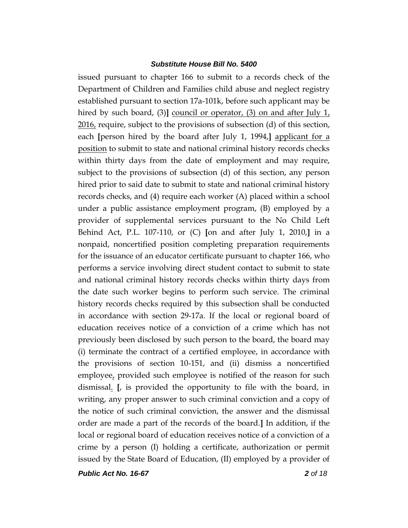issued pursuant to chapter 166 to submit to a records check of the Department of Children and Families child abuse and neglect registry established pursuant to section 17a-101k, before such applicant may be hired by such board, (3)**]** <u>council or operator</u>, (3) on and after July 1, 2016, require, subject to the provisions of subsection (d) of this section, each **[**person hired by the board after July 1, 1994,**]** applicant for a position to submit to state and national criminal history records checks within thirty days from the date of employment and may require, subject to the provisions of subsection (d) of this section, any person hired prior to said date to submit to state and national criminal history records checks, and (4) require each worker (A) placed within a school under a public assistance employment program, (B) employed by a provider of supplemental services pursuant to the No Child Left Behind Act, P.L. 107-110, or (C) **[**on and after July 1, 2010,**]** in a nonpaid, noncertified position completing preparation requirements for the issuance of an educator certificate pursuant to chapter 166, who performs a service involving direct student contact to submit to state and national criminal history records checks within thirty days from the date such worker begins to perform such service. The criminal history records checks required by this subsection shall be conducted in accordance with section 29-17a. If the local or regional board of education receives notice of a conviction of a crime which has not previously been disclosed by such person to the board, the board may (i) terminate the contract of a certified employee, in accordance with the provisions of section 10-151, and (ii) dismiss a noncertified employee, provided such employee is notified of the reason for such dismissal. **[**, is provided the opportunity to file with the board, in writing, any proper answer to such criminal conviction and a copy of the notice of such criminal conviction, the answer and the dismissal order are made a part of the records of the board.**]** In addition, if the local or regional board of education receives notice of a conviction of a crime by a person (I) holding a certificate, authorization or permit issued by the State Board of Education, (II) employed by a provider of

*Public Act No. 16-67 2 of 18*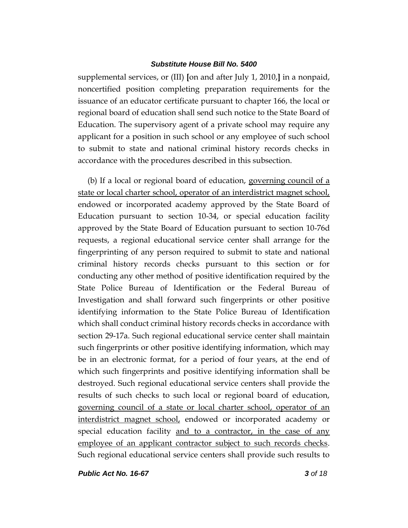supplemental services, or (III) **[**on and after July 1, 2010,**]** in a nonpaid, noncertified position completing preparation requirements for the issuance of an educator certificate pursuant to chapter 166, the local or regional board of education shall send such notice to the State Board of Education. The supervisory agent of a private school may require any applicant for a position in such school or any employee of such school to submit to state and national criminal history records checks in accordance with the procedures described in this subsection.

(b) If a local or regional board of education, governing council of a state or local charter school, operator of an interdistrict magnet school, endowed or incorporated academy approved by the State Board of Education pursuant to section 10-34, or special education facility approved by the State Board of Education pursuant to section 10-76d requests, a regional educational service center shall arrange for the fingerprinting of any person required to submit to state and national criminal history records checks pursuant to this section or for conducting any other method of positive identification required by the State Police Bureau of Identification or the Federal Bureau of Investigation and shall forward such fingerprints or other positive identifying information to the State Police Bureau of Identification which shall conduct criminal history records checks in accordance with section 29-17a. Such regional educational service center shall maintain such fingerprints or other positive identifying information, which may be in an electronic format, for a period of four years, at the end of which such fingerprints and positive identifying information shall be destroyed. Such regional educational service centers shall provide the results of such checks to such local or regional board of education, governing council of a state or local charter school, operator of an interdistrict magnet school, endowed or incorporated academy or special education facility and to a contractor, in the case of any employee of an applicant contractor subject to such records checks. Such regional educational service centers shall provide such results to

*Public Act No. 16-67 3 of 18*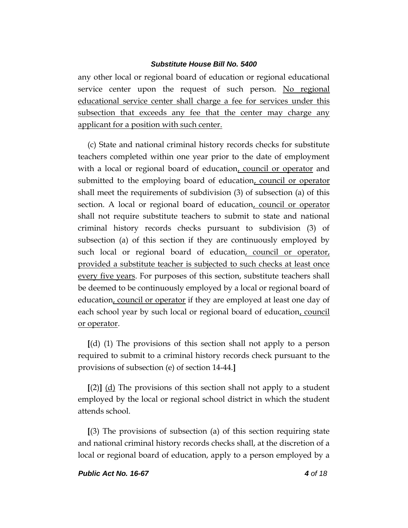any other local or regional board of education or regional educational service center upon the request of such person. No regional educational service center shall charge a fee for services under this subsection that exceeds any fee that the center may charge any applicant for a position with such center.

(c) State and national criminal history records checks for substitute teachers completed within one year prior to the date of employment with a local or regional board of education, council or operator and submitted to the employing board of education, council or operator shall meet the requirements of subdivision (3) of subsection (a) of this section. A local or regional board of education, council or operator shall not require substitute teachers to submit to state and national criminal history records checks pursuant to subdivision (3) of subsection (a) of this section if they are continuously employed by such local or regional board of education, council or operator, provided a substitute teacher is subjected to such checks at least once every five years. For purposes of this section, substitute teachers shall be deemed to be continuously employed by a local or regional board of education, council or operator if they are employed at least one day of each school year by such local or regional board of education, council or operator.

**[**(d) (1) The provisions of this section shall not apply to a person required to submit to a criminal history records check pursuant to the provisions of subsection (e) of section 14-44.**]**

**[**(2)**]** (d) The provisions of this section shall not apply to a student employed by the local or regional school district in which the student attends school.

**[**(3) The provisions of subsection (a) of this section requiring state and national criminal history records checks shall, at the discretion of a local or regional board of education, apply to a person employed by a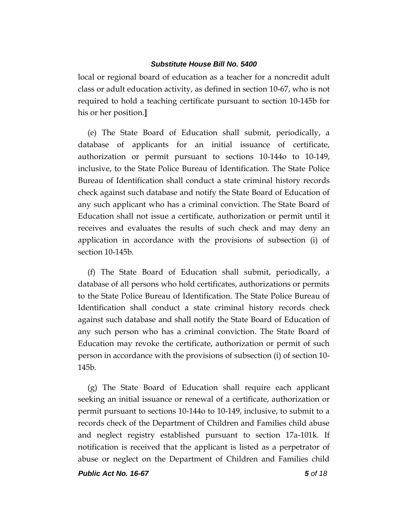local or regional board of education as a teacher for a noncredit adult class or adult education activity, as defined in section 10-67, who is not required to hold a teaching certificate pursuant to section 10-145b for his or her position.**]**

(e) The State Board of Education shall submit, periodically, a database of applicants for an initial issuance of certificate, authorization or permit pursuant to sections 10-144o to 10-149, inclusive, to the State Police Bureau of Identification. The State Police Bureau of Identification shall conduct a state criminal history records check against such database and notify the State Board of Education of any such applicant who has a criminal conviction. The State Board of Education shall not issue a certificate, authorization or permit until it receives and evaluates the results of such check and may deny an application in accordance with the provisions of subsection (i) of section 10-145b.

(f) The State Board of Education shall submit, periodically, a database of all persons who hold certificates, authorizations or permits to the State Police Bureau of Identification. The State Police Bureau of Identification shall conduct a state criminal history records check against such database and shall notify the State Board of Education of any such person who has a criminal conviction. The State Board of Education may revoke the certificate, authorization or permit of such person in accordance with the provisions of subsection (i) of section 10- 145b.

(g) The State Board of Education shall require each applicant seeking an initial issuance or renewal of a certificate, authorization or permit pursuant to sections 10-144o to 10-149, inclusive, to submit to a records check of the Department of Children and Families child abuse and neglect registry established pursuant to section 17a-101k. If notification is received that the applicant is listed as a perpetrator of abuse or neglect on the Department of Children and Families child

*Public Act No. 16-67 5 of 18*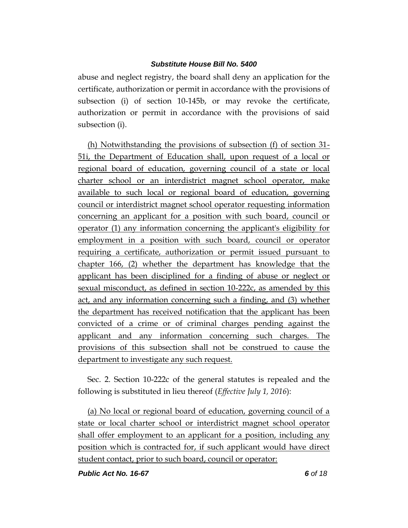abuse and neglect registry, the board shall deny an application for the certificate, authorization or permit in accordance with the provisions of subsection (i) of section 10-145b, or may revoke the certificate, authorization or permit in accordance with the provisions of said subsection (i).

(h) Notwithstanding the provisions of subsection (f) of section 31- 51i, the Department of Education shall, upon request of a local or regional board of education, governing council of a state or local charter school or an interdistrict magnet school operator, make available to such local or regional board of education, governing council or interdistrict magnet school operator requesting information concerning an applicant for a position with such board, council or operator (1) any information concerning the applicant's eligibility for employment in a position with such board, council or operator requiring a certificate, authorization or permit issued pursuant to chapter 166, (2) whether the department has knowledge that the applicant has been disciplined for a finding of abuse or neglect or sexual misconduct, as defined in section 10-222c, as amended by this act, and any information concerning such a finding, and (3) whether the department has received notification that the applicant has been convicted of a crime or of criminal charges pending against the applicant and any information concerning such charges. The provisions of this subsection shall not be construed to cause the department to investigate any such request.

Sec. 2. Section 10-222c of the general statutes is repealed and the following is substituted in lieu thereof (*Effective July 1, 2016*):

(a) No local or regional board of education, governing council of a state or local charter school or interdistrict magnet school operator shall offer employment to an applicant for a position, including any position which is contracted for, if such applicant would have direct student contact, prior to such board, council or operator:

*Public Act No. 16-67 6 of 18*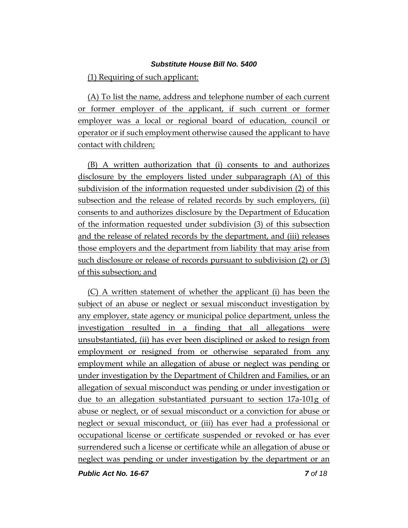(1) Requiring of such applicant:

(A) To list the name, address and telephone number of each current or former employer of the applicant, if such current or former employer was a local or regional board of education, council or operator or if such employment otherwise caused the applicant to have contact with children;

(B) A written authorization that (i) consents to and authorizes disclosure by the employers listed under subparagraph (A) of this subdivision of the information requested under subdivision (2) of this subsection and the release of related records by such employers, (ii) consents to and authorizes disclosure by the Department of Education of the information requested under subdivision (3) of this subsection and the release of related records by the department, and (iii) releases those employers and the department from liability that may arise from such disclosure or release of records pursuant to subdivision (2) or (3) of this subsection; and

(C) A written statement of whether the applicant (i) has been the subject of an abuse or neglect or sexual misconduct investigation by any employer, state agency or municipal police department, unless the investigation resulted in a finding that all allegations were unsubstantiated, (ii) has ever been disciplined or asked to resign from employment or resigned from or otherwise separated from any employment while an allegation of abuse or neglect was pending or under investigation by the Department of Children and Families, or an allegation of sexual misconduct was pending or under investigation or due to an allegation substantiated pursuant to section 17a-101g of abuse or neglect, or of sexual misconduct or a conviction for abuse or neglect or sexual misconduct, or (iii) has ever had a professional or occupational license or certificate suspended or revoked or has ever surrendered such a license or certificate while an allegation of abuse or neglect was pending or under investigation by the department or an

*Public Act No. 16-67 7 of 18*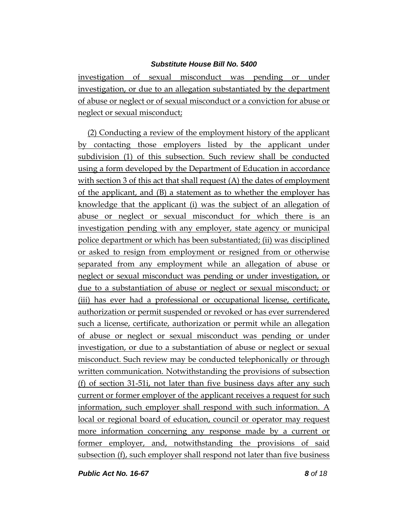investigation of sexual misconduct was pending or under investigation, or due to an allegation substantiated by the department of abuse or neglect or of sexual misconduct or a conviction for abuse or neglect or sexual misconduct;

(2) Conducting a review of the employment history of the applicant by contacting those employers listed by the applicant under subdivision (1) of this subsection. Such review shall be conducted using a form developed by the Department of Education in accordance with section 3 of this act that shall request (A) the dates of employment of the applicant, and (B) a statement as to whether the employer has knowledge that the applicant (i) was the subject of an allegation of abuse or neglect or sexual misconduct for which there is an investigation pending with any employer, state agency or municipal police department or which has been substantiated; (ii) was disciplined or asked to resign from employment or resigned from or otherwise separated from any employment while an allegation of abuse or neglect or sexual misconduct was pending or under investigation, or due to a substantiation of abuse or neglect or sexual misconduct; or (iii) has ever had a professional or occupational license, certificate, authorization or permit suspended or revoked or has ever surrendered such a license, certificate, authorization or permit while an allegation of abuse or neglect or sexual misconduct was pending or under investigation, or due to a substantiation of abuse or neglect or sexual misconduct. Such review may be conducted telephonically or through written communication. Notwithstanding the provisions of subsection (f) of section 31-51i, not later than five business days after any such current or former employer of the applicant receives a request for such information, such employer shall respond with such information. A local or regional board of education, council or operator may request more information concerning any response made by a current or former employer, and, notwithstanding the provisions of said subsection (f), such employer shall respond not later than five business

*Public Act No. 16-67 8 of 18*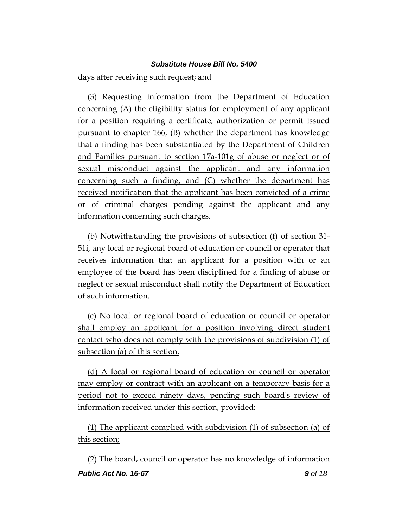days after receiving such request; and

(3) Requesting information from the Department of Education concerning (A) the eligibility status for employment of any applicant for a position requiring a certificate, authorization or permit issued pursuant to chapter 166, (B) whether the department has knowledge that a finding has been substantiated by the Department of Children and Families pursuant to section 17a-101g of abuse or neglect or of sexual misconduct against the applicant and any information concerning such a finding, and (C) whether the department has received notification that the applicant has been convicted of a crime or of criminal charges pending against the applicant and any information concerning such charges.

(b) Notwithstanding the provisions of subsection (f) of section 31- 51i, any local or regional board of education or council or operator that receives information that an applicant for a position with or an employee of the board has been disciplined for a finding of abuse or neglect or sexual misconduct shall notify the Department of Education of such information.

(c) No local or regional board of education or council or operator shall employ an applicant for a position involving direct student contact who does not comply with the provisions of subdivision (1) of subsection (a) of this section.

(d) A local or regional board of education or council or operator may employ or contract with an applicant on a temporary basis for a period not to exceed ninety days, pending such board's review of information received under this section, provided:

(1) The applicant complied with subdivision (1) of subsection (a) of this section;

*Public Act No. 16-67 9 of 18* (2) The board, council or operator has no knowledge of information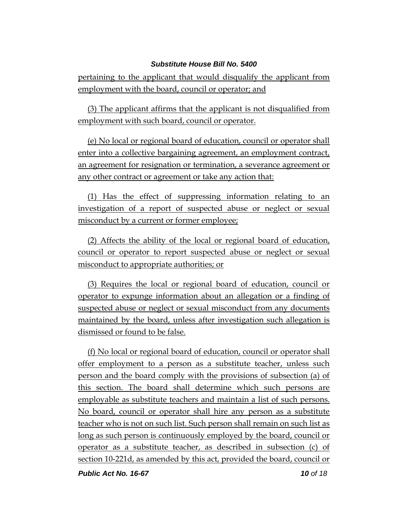pertaining to the applicant that would disqualify the applicant from employment with the board, council or operator; and

(3) The applicant affirms that the applicant is not disqualified from employment with such board, council or operator.

(e) No local or regional board of education, council or operator shall enter into a collective bargaining agreement, an employment contract, an agreement for resignation or termination, a severance agreement or any other contract or agreement or take any action that:

(1) Has the effect of suppressing information relating to an investigation of a report of suspected abuse or neglect or sexual misconduct by a current or former employee;

(2) Affects the ability of the local or regional board of education, council or operator to report suspected abuse or neglect or sexual misconduct to appropriate authorities; or

(3) Requires the local or regional board of education, council or operator to expunge information about an allegation or a finding of suspected abuse or neglect or sexual misconduct from any documents maintained by the board, unless after investigation such allegation is dismissed or found to be false.

(f) No local or regional board of education, council or operator shall offer employment to a person as a substitute teacher, unless such person and the board comply with the provisions of subsection (a) of this section. The board shall determine which such persons are employable as substitute teachers and maintain a list of such persons. No board, council or operator shall hire any person as a substitute teacher who is not on such list. Such person shall remain on such list as long as such person is continuously employed by the board, council or operator as a substitute teacher, as described in subsection (c) of section 10-221d, as amended by this act, provided the board, council or

*Public Act No. 16-67 10 of 18*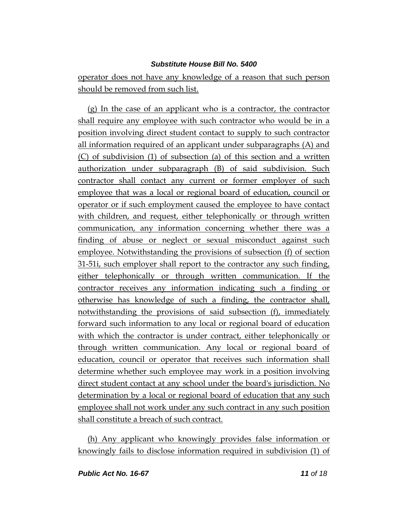operator does not have any knowledge of a reason that such person should be removed from such list.

(g) In the case of an applicant who is a contractor, the contractor shall require any employee with such contractor who would be in a position involving direct student contact to supply to such contractor all information required of an applicant under subparagraphs (A) and (C) of subdivision (1) of subsection (a) of this section and a written authorization under subparagraph (B) of said subdivision. Such contractor shall contact any current or former employer of such employee that was a local or regional board of education, council or operator or if such employment caused the employee to have contact with children, and request, either telephonically or through written communication, any information concerning whether there was a finding of abuse or neglect or sexual misconduct against such employee. Notwithstanding the provisions of subsection (f) of section 31-51i, such employer shall report to the contractor any such finding, either telephonically or through written communication. If the contractor receives any information indicating such a finding or otherwise has knowledge of such a finding, the contractor shall, notwithstanding the provisions of said subsection (f), immediately forward such information to any local or regional board of education with which the contractor is under contract, either telephonically or through written communication. Any local or regional board of education, council or operator that receives such information shall determine whether such employee may work in a position involving direct student contact at any school under the board's jurisdiction. No determination by a local or regional board of education that any such employee shall not work under any such contract in any such position shall constitute a breach of such contract.

(h) Any applicant who knowingly provides false information or knowingly fails to disclose information required in subdivision (1) of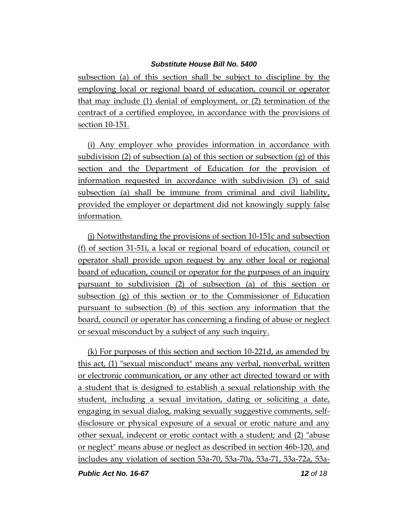subsection (a) of this section shall be subject to discipline by the employing local or regional board of education, council or operator that may include (1) denial of employment, or (2) termination of the contract of a certified employee, in accordance with the provisions of section 10-151.

(i) Any employer who provides information in accordance with subdivision (2) of subsection (a) of this section or subsection (g) of this section and the Department of Education for the provision of information requested in accordance with subdivision (3) of said subsection (a) shall be immune from criminal and civil liability, provided the employer or department did not knowingly supply false information.

(j) Notwithstanding the provisions of section 10-151c and subsection (f) of section 31-51i, a local or regional board of education, council or operator shall provide upon request by any other local or regional board of education, council or operator for the purposes of an inquiry pursuant to subdivision (2) of subsection (a) of this section or subsection (g) of this section or to the Commissioner of Education pursuant to subsection (b) of this section any information that the board, council or operator has concerning a finding of abuse or neglect or sexual misconduct by a subject of any such inquiry.

(k) For purposes of this section and section 10-221d, as amended by this act, (1) "sexual misconduct" means any verbal, nonverbal, written or electronic communication, or any other act directed toward or with a student that is designed to establish a sexual relationship with the student, including a sexual invitation, dating or soliciting a date, engaging in sexual dialog, making sexually suggestive comments, selfdisclosure or physical exposure of a sexual or erotic nature and any other sexual, indecent or erotic contact with a student; and (2) "abuse or neglect" means abuse or neglect as described in section 46b-120, and includes any violation of section 53a-70, 53a-70a, 53a-71, 53a-72a, 53a-

*Public Act No. 16-67 12 of 18*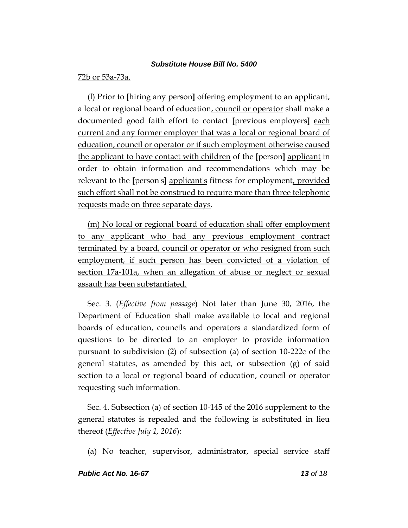### 72b or 53a-73a.

(l) Prior to **[**hiring any person**]** offering employment to an applicant, a local or regional board of education, council or operator shall make a documented good faith effort to contact **[**previous employers**]** each current and any former employer that was a local or regional board of education, council or operator or if such employment otherwise caused the applicant to have contact with children of the **[**person**]** applicant in order to obtain information and recommendations which may be relevant to the **[**person's**]** applicant's fitness for employment, provided such effort shall not be construed to require more than three telephonic requests made on three separate days.

(m) No local or regional board of education shall offer employment to any applicant who had any previous employment contract terminated by a board, council or operator or who resigned from such employment, if such person has been convicted of a violation of section 17a-101a, when an allegation of abuse or neglect or sexual assault has been substantiated.

Sec. 3. (*Effective from passage*) Not later than June 30, 2016, the Department of Education shall make available to local and regional boards of education, councils and operators a standardized form of questions to be directed to an employer to provide information pursuant to subdivision (2) of subsection (a) of section 10-222c of the general statutes, as amended by this act, or subsection  $(g)$  of said section to a local or regional board of education, council or operator requesting such information.

Sec. 4. Subsection (a) of section 10-145 of the 2016 supplement to the general statutes is repealed and the following is substituted in lieu thereof (*Effective July 1, 2016*):

(a) No teacher, supervisor, administrator, special service staff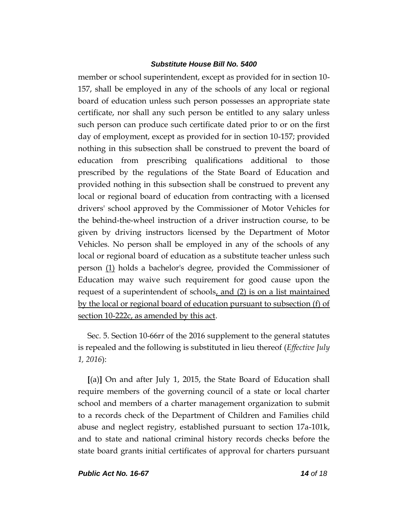member or school superintendent, except as provided for in section 10- 157, shall be employed in any of the schools of any local or regional board of education unless such person possesses an appropriate state certificate, nor shall any such person be entitled to any salary unless such person can produce such certificate dated prior to or on the first day of employment, except as provided for in section 10-157; provided nothing in this subsection shall be construed to prevent the board of education from prescribing qualifications additional to those prescribed by the regulations of the State Board of Education and provided nothing in this subsection shall be construed to prevent any local or regional board of education from contracting with a licensed drivers' school approved by the Commissioner of Motor Vehicles for the behind-the-wheel instruction of a driver instruction course, to be given by driving instructors licensed by the Department of Motor Vehicles. No person shall be employed in any of the schools of any local or regional board of education as a substitute teacher unless such person (1) holds a bachelor's degree, provided the Commissioner of Education may waive such requirement for good cause upon the request of a superintendent of schools, and (2) is on a list maintained by the local or regional board of education pursuant to subsection (f) of section 10-222c, as amended by this act.

Sec. 5. Section 10-66rr of the 2016 supplement to the general statutes is repealed and the following is substituted in lieu thereof (*Effective July 1, 2016*):

**[**(a)**]** On and after July 1, 2015, the State Board of Education shall require members of the governing council of a state or local charter school and members of a charter management organization to submit to a records check of the Department of Children and Families child abuse and neglect registry, established pursuant to section 17a-101k, and to state and national criminal history records checks before the state board grants initial certificates of approval for charters pursuant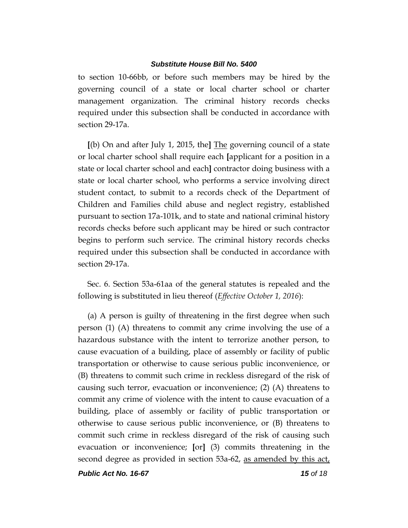to section 10-66bb, or before such members may be hired by the governing council of a state or local charter school or charter management organization. The criminal history records checks required under this subsection shall be conducted in accordance with section 29-17a.

**[**(b) On and after July 1, 2015, the**]** The governing council of a state or local charter school shall require each **[**applicant for a position in a state or local charter school and each**]** contractor doing business with a state or local charter school, who performs a service involving direct student contact, to submit to a records check of the Department of Children and Families child abuse and neglect registry, established pursuant to section 17a-101k, and to state and national criminal history records checks before such applicant may be hired or such contractor begins to perform such service. The criminal history records checks required under this subsection shall be conducted in accordance with section 29-17a.

Sec. 6. Section 53a-61aa of the general statutes is repealed and the following is substituted in lieu thereof (*Effective October 1, 2016*):

(a) A person is guilty of threatening in the first degree when such person (1) (A) threatens to commit any crime involving the use of a hazardous substance with the intent to terrorize another person, to cause evacuation of a building, place of assembly or facility of public transportation or otherwise to cause serious public inconvenience, or (B) threatens to commit such crime in reckless disregard of the risk of causing such terror, evacuation or inconvenience; (2) (A) threatens to commit any crime of violence with the intent to cause evacuation of a building, place of assembly or facility of public transportation or otherwise to cause serious public inconvenience, or (B) threatens to commit such crime in reckless disregard of the risk of causing such evacuation or inconvenience; **[**or**]** (3) commits threatening in the second degree as provided in section 53a-62, as amended by this act,

*Public Act No. 16-67 15 of 18*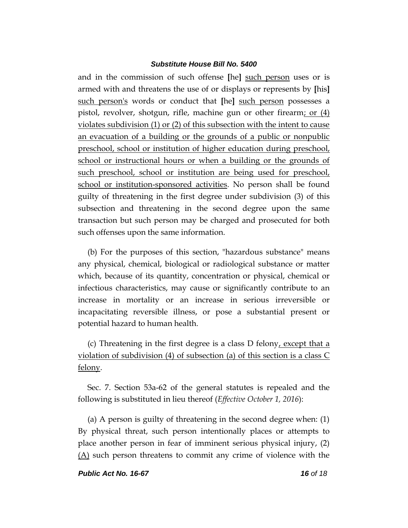and in the commission of such offense **[**he**]** such person uses or is armed with and threatens the use of or displays or represents by **[**his**]** such person's words or conduct that **[**he**]** such person possesses a pistol, revolver, shotgun, rifle, machine gun or other firearm; or (4) violates subdivision (1) or (2) of this subsection with the intent to cause an evacuation of a building or the grounds of a public or nonpublic preschool, school or institution of higher education during preschool, school or instructional hours or when a building or the grounds of such preschool, school or institution are being used for preschool, school or institution-sponsored activities. No person shall be found guilty of threatening in the first degree under subdivision (3) of this subsection and threatening in the second degree upon the same transaction but such person may be charged and prosecuted for both such offenses upon the same information.

(b) For the purposes of this section, "hazardous substance" means any physical, chemical, biological or radiological substance or matter which, because of its quantity, concentration or physical, chemical or infectious characteristics, may cause or significantly contribute to an increase in mortality or an increase in serious irreversible or incapacitating reversible illness, or pose a substantial present or potential hazard to human health.

(c) Threatening in the first degree is a class D felony, except that a violation of subdivision (4) of subsection (a) of this section is a class C felony.

Sec. 7. Section 53a-62 of the general statutes is repealed and the following is substituted in lieu thereof (*Effective October 1, 2016*):

(a) A person is guilty of threatening in the second degree when: (1) By physical threat, such person intentionally places or attempts to place another person in fear of imminent serious physical injury, (2) (A) such person threatens to commit any crime of violence with the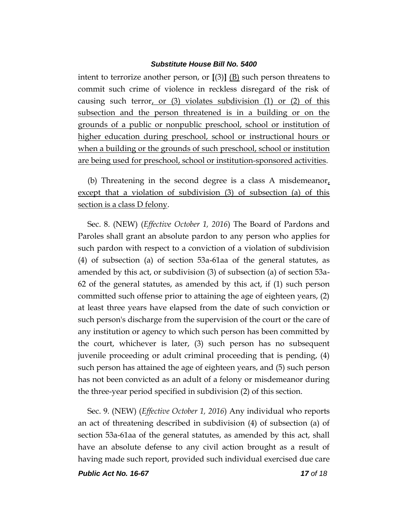intent to terrorize another person, or **[**(3)**]** (B) such person threatens to commit such crime of violence in reckless disregard of the risk of causing such terror, or  $(3)$  violates subdivision  $(1)$  or  $(2)$  of this subsection and the person threatened is in a building or on the grounds of a public or nonpublic preschool, school or institution of higher education during preschool, school or instructional hours or when a building or the grounds of such preschool, school or institution are being used for preschool, school or institution-sponsored activities.

(b) Threatening in the second degree is a class A misdemeanor, except that a violation of subdivision (3) of subsection (a) of this section is a class D felony.

Sec. 8. (NEW) (*Effective October 1, 2016*) The Board of Pardons and Paroles shall grant an absolute pardon to any person who applies for such pardon with respect to a conviction of a violation of subdivision (4) of subsection (a) of section 53a-61aa of the general statutes, as amended by this act, or subdivision (3) of subsection (a) of section 53a-62 of the general statutes, as amended by this act, if (1) such person committed such offense prior to attaining the age of eighteen years, (2) at least three years have elapsed from the date of such conviction or such person's discharge from the supervision of the court or the care of any institution or agency to which such person has been committed by the court, whichever is later, (3) such person has no subsequent juvenile proceeding or adult criminal proceeding that is pending, (4) such person has attained the age of eighteen years, and (5) such person has not been convicted as an adult of a felony or misdemeanor during the three-year period specified in subdivision (2) of this section.

Sec. 9. (NEW) (*Effective October 1, 2016*) Any individual who reports an act of threatening described in subdivision (4) of subsection (a) of section 53a-61aa of the general statutes, as amended by this act, shall have an absolute defense to any civil action brought as a result of having made such report, provided such individual exercised due care

*Public Act No. 16-67 17 of 18*